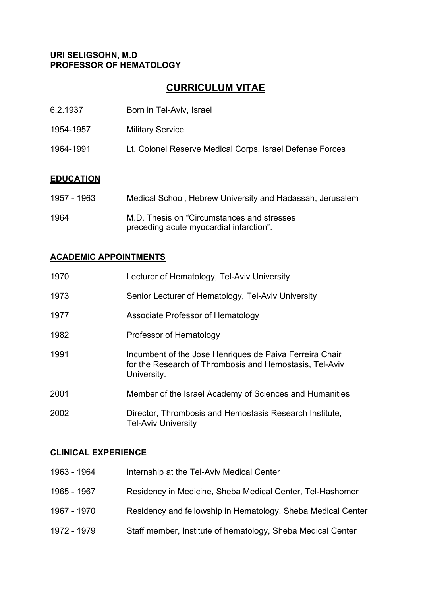#### **URI SELIGSOHN, M.D PROFESSOR OF HEMATOLOGY**

# **CURRICULUM VITAE**

| 6.2.1937         | Born in Tel-Aviv, Israel                                  |
|------------------|-----------------------------------------------------------|
| 1954-1957        | <b>Military Service</b>                                   |
| 1964-1991        | Lt. Colonel Reserve Medical Corps, Israel Defense Forces  |
|                  |                                                           |
| <b>EDUCATION</b> |                                                           |
| 1957 - 1963      | Medical School, Hebrew University and Hadassah, Jerusalem |
| 1001             | $M \nabla$ Thesis on "Circumstances and streases          |

1964 M.D. Thesis on "Circumstances and stresses preceding acute myocardial infarction".

# **ACADEMIC APPOINTMENTS**

| 1970 | Lecturer of Hematology, Tel-Aviv University                                                                                       |
|------|-----------------------------------------------------------------------------------------------------------------------------------|
| 1973 | Senior Lecturer of Hematology, Tel-Aviv University                                                                                |
| 1977 | Associate Professor of Hematology                                                                                                 |
| 1982 | Professor of Hematology                                                                                                           |
| 1991 | Incumbent of the Jose Henriques de Paiva Ferreira Chair<br>for the Research of Thrombosis and Hemostasis, Tel-Aviv<br>University. |
| 2001 | Member of the Israel Academy of Sciences and Humanities                                                                           |
| 2002 | Director, Thrombosis and Hemostasis Research Institute,<br><b>Tel-Aviv University</b>                                             |

## **CLINICAL EXPERIENCE**

| 1963 - 1964 | Internship at the Tel-Aviv Medical Center                    |
|-------------|--------------------------------------------------------------|
| 1965 - 1967 | Residency in Medicine, Sheba Medical Center, Tel-Hashomer    |
| 1967 - 1970 | Residency and fellowship in Hematology, Sheba Medical Center |
| 1972 - 1979 | Staff member, Institute of hematology, Sheba Medical Center  |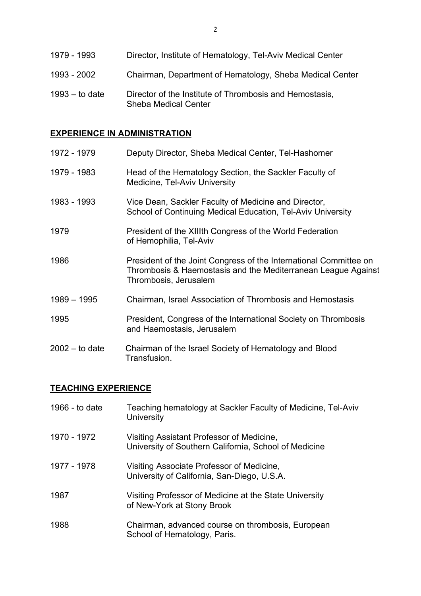| 1979 - 1993      | Director, Institute of Hematology, Tel-Aviv Medical Center                             |
|------------------|----------------------------------------------------------------------------------------|
| 1993 - 2002      | Chairman, Department of Hematology, Sheba Medical Center                               |
| $1993 -$ to date | Director of the Institute of Thrombosis and Hemostasis,<br><b>Sheba Medical Center</b> |

# **EXPERIENCE IN ADMINISTRATION**

| 1972 - 1979      | Deputy Director, Sheba Medical Center, Tel-Hashomer                                                                                                         |
|------------------|-------------------------------------------------------------------------------------------------------------------------------------------------------------|
| 1979 - 1983      | Head of the Hematology Section, the Sackler Faculty of<br>Medicine, Tel-Aviv University                                                                     |
| 1983 - 1993      | Vice Dean, Sackler Faculty of Medicine and Director,<br>School of Continuing Medical Education, Tel-Aviv University                                         |
| 1979             | President of the XIIIth Congress of the World Federation<br>of Hemophilia, Tel-Aviv                                                                         |
| 1986             | President of the Joint Congress of the International Committee on<br>Thrombosis & Haemostasis and the Mediterranean League Against<br>Thrombosis, Jerusalem |
| 1989 - 1995      | Chairman, Israel Association of Thrombosis and Hemostasis                                                                                                   |
| 1995             | President, Congress of the International Society on Thrombosis<br>and Haemostasis, Jerusalem                                                                |
| $2002 -$ to date | Chairman of the Israel Society of Hematology and Blood<br>Transfusion.                                                                                      |

# **TEACHING EXPERIENCE**

| 1966 - to date | Teaching hematology at Sackler Faculty of Medicine, Tel-Aviv<br><b>University</b>                  |
|----------------|----------------------------------------------------------------------------------------------------|
| 1970 - 1972    | Visiting Assistant Professor of Medicine,<br>University of Southern California, School of Medicine |
| 1977 - 1978    | Visiting Associate Professor of Medicine,<br>University of California, San-Diego, U.S.A.           |
| 1987           | Visiting Professor of Medicine at the State University<br>of New-York at Stony Brook               |
| 1988           | Chairman, advanced course on thrombosis, European<br>School of Hematology, Paris.                  |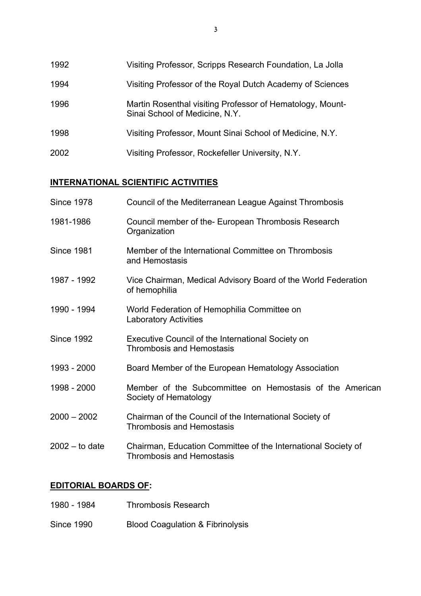1992 Visiting Professor, Scripps Research Foundation, La Jolla 1994 Visiting Professor of the Royal Dutch Academy of Sciences 1996 Martin Rosenthal visiting Professor of Hematology, Mount- Sinai School of Medicine, N.Y. 1998 Visiting Professor, Mount Sinai School of Medicine, N.Y. 2002 Visiting Professor, Rockefeller University, N.Y.

## **INTERNATIONAL SCIENTIFIC ACTIVITIES**

| <b>Since 1978</b> | Council of the Mediterranean League Against Thrombosis                                            |
|-------------------|---------------------------------------------------------------------------------------------------|
| 1981-1986         | Council member of the- European Thrombosis Research<br>Organization                               |
| <b>Since 1981</b> | Member of the International Committee on Thrombosis<br>and Hemostasis                             |
| 1987 - 1992       | Vice Chairman, Medical Advisory Board of the World Federation<br>of hemophilia                    |
| 1990 - 1994       | World Federation of Hemophilia Committee on<br><b>Laboratory Activities</b>                       |
| <b>Since 1992</b> | Executive Council of the International Society on<br><b>Thrombosis and Hemostasis</b>             |
| 1993 - 2000       | Board Member of the European Hematology Association                                               |
| 1998 - 2000       | Member of the Subcommittee on Hemostasis of the American<br>Society of Hematology                 |
| $2000 - 2002$     | Chairman of the Council of the International Society of<br><b>Thrombosis and Hemostasis</b>       |
| $2002 -$ to date  | Chairman, Education Committee of the International Society of<br><b>Thrombosis and Hemostasis</b> |
|                   |                                                                                                   |

## **EDITORIAL BOARDS OF:**

| 1980 - 1984 | <b>Thrombosis Research</b> |
|-------------|----------------------------|
|             |                            |

Since 1990 Blood Coagulation & Fibrinolysis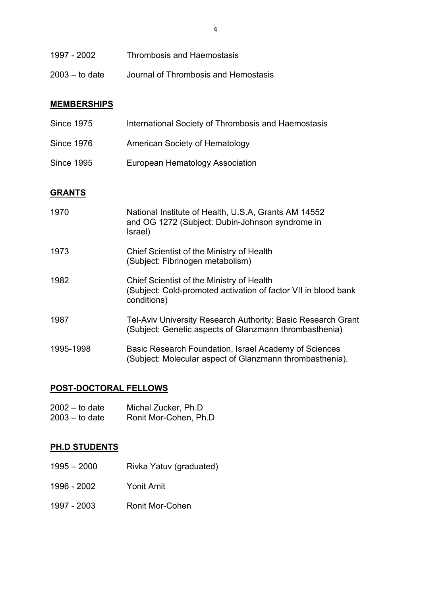| 1997 - 2002      | <b>Thrombosis and Haemostasis</b>    |
|------------------|--------------------------------------|
| $2003 -$ to date | Journal of Thrombosis and Hemostasis |

#### **MEMBERSHIPS**

| <b>Since 1975</b> | International Society of Thrombosis and Haemostasis |
|-------------------|-----------------------------------------------------|
| <b>Since 1976</b> | American Society of Hematology                      |
| <b>Since 1995</b> | European Hematology Association                     |

# **GRANTS**

| 1970      | National Institute of Health, U.S.A, Grants AM 14552<br>and OG 1272 (Subject: Dubin-Johnson syndrome in<br>Israel)         |
|-----------|----------------------------------------------------------------------------------------------------------------------------|
| 1973      | Chief Scientist of the Ministry of Health<br>(Subject: Fibrinogen metabolism)                                              |
| 1982      | Chief Scientist of the Ministry of Health<br>(Subject: Cold-promoted activation of factor VII in blood bank<br>conditions) |
| 1987      | Tel-Aviv University Research Authority: Basic Research Grant<br>(Subject: Genetic aspects of Glanzmann thrombasthenia)     |
| 1995-1998 | Basic Research Foundation, Israel Academy of Sciences<br>(Subject: Molecular aspect of Glanzmann thrombasthenia).          |

# **POST-DOCTORAL FELLOWS**

| 2002 – to date | Michal Zucker, Ph.D    |
|----------------|------------------------|
| 2003 – to date | Ronit Mor-Cohen, Ph.D. |

# **PH.D STUDENTS**

- 1995 2000 Rivka Yatuv (graduated)
- 1996 2002 Yonit Amit
- 1997 2003 Ronit Mor-Cohen